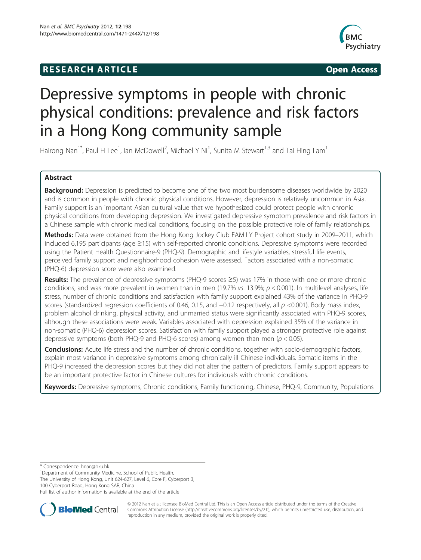## **RESEARCH ARTICLE Example 2008 CONSIDERING CONSIDERING CONSIDERING CONSIDERING CONSIDERING CONSIDERING CONSIDERING CONSIDERING CONSIDERING CONSIDERING CONSIDERING CONSIDERING CONSIDERING CONSIDERING CONSIDERING CONSIDE**



# Depressive symptoms in people with chronic physical conditions: prevalence and risk factors in a Hong Kong community sample

Hairong Nan<sup>1\*</sup>, Paul H Lee<sup>1</sup>, Ian McDowell<sup>2</sup>, Michael Y Ni<sup>1</sup>, Sunita M Stewart<sup>1,3</sup> and Tai Hing Lam<sup>1</sup>

## Abstract

Background: Depression is predicted to become one of the two most burdensome diseases worldwide by 2020 and is common in people with chronic physical conditions. However, depression is relatively uncommon in Asia. Family support is an important Asian cultural value that we hypothesized could protect people with chronic physical conditions from developing depression. We investigated depressive symptom prevalence and risk factors in a Chinese sample with chronic medical conditions, focusing on the possible protective role of family relationships.

Methods: Data were obtained from the Hong Kong Jockey Club FAMILY Project cohort study in 2009–2011, which included 6,195 participants (age ≥15) with self-reported chronic conditions. Depressive symptoms were recorded using the Patient Health Questionnaire-9 (PHQ-9). Demographic and lifestyle variables, stressful life events, perceived family support and neighborhood cohesion were assessed. Factors associated with a non-somatic (PHQ-6) depression score were also examined.

**Results:** The prevalence of depressive symptoms (PHQ-9 scores  $\geq$ 5) was 17% in those with one or more chronic conditions, and was more prevalent in women than in men (19.7% vs. 13.9%;  $p < 0.001$ ). In multilevel analyses, life stress, number of chronic conditions and satisfaction with family support explained 43% of the variance in PHQ-9 scores (standardized regression coefficients of 0.46, 0.15, and  $-0.12$  respectively, all  $p$  <0.001). Body mass index, problem alcohol drinking, physical activity, and unmarried status were significantly associated with PHQ-9 scores, although these associations were weak. Variables associated with depression explained 35% of the variance in non-somatic (PHQ-6) depression scores. Satisfaction with family support played a stronger protective role against depressive symptoms (both PHQ-9 and PHQ-6 scores) among women than men ( $p < 0.05$ ).

Conclusions: Acute life stress and the number of chronic conditions, together with socio-demographic factors, explain most variance in depressive symptoms among chronically ill Chinese individuals. Somatic items in the PHQ-9 increased the depression scores but they did not alter the pattern of predictors. Family support appears to be an important protective factor in Chinese cultures for individuals with chronic conditions.

Keywords: Depressive symptoms, Chronic conditions, Family functioning, Chinese, PHQ-9, Community, Populations

\* Correspondence: [hnan@hku.hk](mailto:hnan@hku.hk) <sup>1</sup>

<sup>1</sup>Department of Community Medicine, School of Public Health,

The University of Hong Kong, Unit 624-627, Level 6, Core F, Cyberport 3, 100 Cyberport Road, Hong Kong SAR, China

Full list of author information is available at the end of the article



© 2012 Nan et al.; licensee BioMed Central Ltd. This is an Open Access article distributed under the terms of the Creative Commons Attribution License [\(http://creativecommons.org/licenses/by/2.0\)](http://creativecommons.org/licenses/by/2.0), which permits unrestricted use, distribution, and reproduction in any medium, provided the original work is properly cited.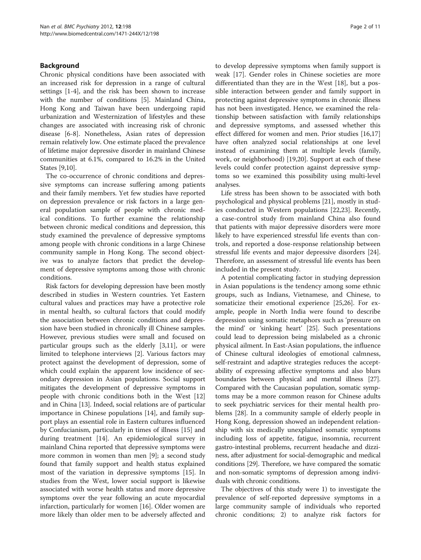## Background

Chronic physical conditions have been associated with an increased risk for depression in a range of cultural settings [[1-4](#page-9-0)], and the risk has been shown to increase with the number of conditions [[5\]](#page-9-0). Mainland China, Hong Kong and Taiwan have been undergoing rapid urbanization and Westernization of lifestyles and these changes are associated with increasing risk of chronic disease [[6-8](#page-9-0)]. Nonetheless, Asian rates of depression remain relatively low. One estimate placed the prevalence of lifetime major depressive disorder in mainland Chinese communities at 6.1%, compared to 16.2% in the United States [\[9,10](#page-9-0)].

The co-occurrence of chronic conditions and depressive symptoms can increase suffering among patients and their family members. Yet few studies have reported on depression prevalence or risk factors in a large general population sample of people with chronic medical conditions. To further examine the relationship between chronic medical conditions and depression, this study examined the prevalence of depressive symptoms among people with chronic conditions in a large Chinese community sample in Hong Kong. The second objective was to analyze factors that predict the development of depressive symptoms among those with chronic conditions.

Risk factors for developing depression have been mostly described in studies in Western countries. Yet Eastern cultural values and practices may have a protective role in mental health, so cultural factors that could modify the association between chronic conditions and depression have been studied in chronically ill Chinese samples. However, previous studies were small and focused on particular groups such as the elderly [[3,11\]](#page-9-0), or were limited to telephone interviews [[2](#page-9-0)]. Various factors may protect against the development of depression, some of which could explain the apparent low incidence of secondary depression in Asian populations. Social support mitigates the development of depressive symptoms in people with chronic conditions both in the West [[12](#page-9-0)] and in China [[13](#page-9-0)]. Indeed, social relations are of particular importance in Chinese populations [[14\]](#page-9-0), and family support plays an essential role in Eastern cultures influenced by Confucianism, particularly in times of illness [\[15](#page-9-0)] and during treatment [\[14](#page-9-0)]. An epidemiological survey in mainland China reported that depressive symptoms were more common in women than men [\[9](#page-9-0)]; a second study found that family support and health status explained most of the variation in depressive symptoms [[15\]](#page-9-0). In studies from the West, lower social support is likewise associated with worse health status and more depressive symptoms over the year following an acute myocardial infarction, particularly for women [[16\]](#page-9-0). Older women are more likely than older men to be adversely affected and

to develop depressive symptoms when family support is weak [[17\]](#page-9-0). Gender roles in Chinese societies are more differentiated than they are in the West [\[18\]](#page-9-0), but a possible interaction between gender and family support in protecting against depressive symptoms in chronic illness has not been investigated. Hence, we examined the relationship between satisfaction with family relationships and depressive symptoms, and assessed whether this effect differed for women and men. Prior studies [[16](#page-9-0),[17](#page-9-0)] have often analyzed social relationships at one level instead of examining them at multiple levels (family, work, or neighborhood) [[19,20\]](#page-9-0). Support at each of these levels could confer protection against depressive symptoms so we examined this possibility using multi-level analyses.

Life stress has been shown to be associated with both psychological and physical problems [[21\]](#page-9-0), mostly in studies conducted in Western populations [[22,23](#page-9-0)]. Recently, a case-control study from mainland China also found that patients with major depressive disorders were more likely to have experienced stressful life events than controls, and reported a dose-response relationship between stressful life events and major depressive disorders [\[24](#page-9-0)]. Therefore, an assessment of stressful life events has been included in the present study.

A potential complicating factor in studying depression in Asian populations is the tendency among some ethnic groups, such as Indians, Vietnamese, and Chinese, to somaticize their emotional experience [[25](#page-9-0),[26](#page-9-0)]. For example, people in North India were found to describe depression using somatic metaphors such as 'pressure on the mind' or 'sinking heart' [[25\]](#page-9-0). Such presentations could lead to depression being mislabeled as a chronic physical ailment. In East-Asian populations, the influence of Chinese cultural ideologies of emotional calmness, self-restraint and adaptive strategies reduces the acceptability of expressing affective symptoms and also blurs boundaries between physical and mental illness [[27](#page-9-0)]. Compared with the Caucasian population, somatic symptoms may be a more common reason for Chinese adults to seek psychiatric services for their mental health problems [[28](#page-9-0)]. In a community sample of elderly people in Hong Kong, depression showed an independent relationship with six medically unexplained somatic symptoms including loss of appetite, fatigue, insomnia, recurrent gastro-intestinal problems, recurrent headache and dizziness, after adjustment for social-demographic and medical conditions [\[29](#page-9-0)]. Therefore, we have compared the somatic and non-somatic symptoms of depression among individuals with chronic conditions.

The objectives of this study were 1) to investigate the prevalence of self-reported depressive symptoms in a large community sample of individuals who reported chronic conditions; 2) to analyze risk factors for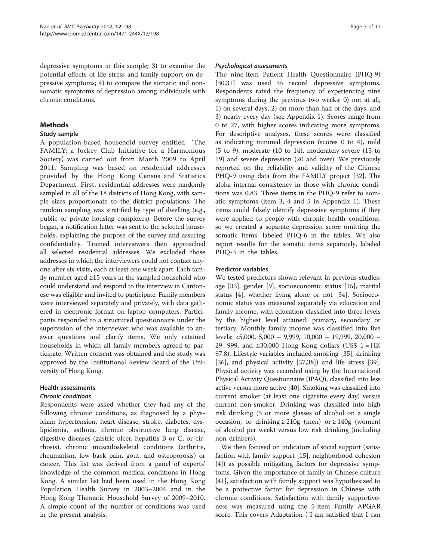depressive symptoms in this sample; 3) to examine the potential effects of life stress and family support on depressive symptoms; 4) to compare the somatic and nonsomatic symptoms of depression among individuals with chronic conditions.

## Methods

#### Study sample

A population-based household survey entitled 'The FAMILY: a Jockey Club Initiative for a Harmonious Society', was carried out from March 2009 to April 2011. Sampling was based on residential addresses provided by the Hong Kong Census and Statistics Department. First, residential addresses were randomly sampled in all of the 18 districts of Hong Kong, with sample sizes proportionate to the district populations. The random sampling was stratified by type of dwelling (e.g., public or private housing complexes). Before the survey began, a notification letter was sent to the selected households, explaining the purpose of the survey and assuring confidentiality. Trained interviewers then approached all selected residential addresses. We excluded those addresses in which the interviewers could not contact anyone after six visits, each at least one week apart. Each family member aged ≥15 years in the sampled household who could understand and respond to the interview in Cantonese was eligible and invited to participate. Family members were interviewed separately and privately, with data gathered in electronic format on laptop computers. Participants responded to a structured questionnaire under the supervision of the interviewer who was available to answer questions and clarify items. We only retained households in which all family members agreed to participate. Written consent was obtained and the study was approved by the Institutional Review Board of the University of Hong Kong.

#### Health assessments

#### Chronic conditions

Respondents were asked whether they had any of the following chronic conditions, as diagnosed by a physician: hypertension, heart disease, stroke, diabetes, dyslipidemia, asthma, chronic obstructive lung disease, digestive diseases (gastric ulcer, hepatitis B or C, or cirrhosis), chronic musculoskeletal conditions (arthritis, rheumatism, low back pain, gout, and osteoporosis) or cancer. This list was derived from a panel of experts' knowledge of the common medical conditions in Hong Kong. A similar list had been used in the Hong Kong Population Health Survey in 2003–2004 and in the Hong Kong Thematic Household Survey of 2009–2010. A simple count of the number of conditions was used in the present analysis.

#### Psychological assessments

The nine-item Patient Health Questionnaire (PHQ-9) [[30,31\]](#page-9-0) was used to record depressive symptoms. Respondents rated the frequency of experiencing nine symptoms during the previous two weeks: 0) not at all, 1) on several days, 2) on more than half of the days, and 3) nearly every day (see Appendix 1). Scores range from 0 to 27, with higher scores indicating more symptoms. For descriptive analyses, these scores were classified as indicating minimal depression (scores 0 to 4), mild (5 to 9), moderate (10 to 14), moderately severe (15 to 19) and severe depression (20 and over). We previously reported on the reliability and validity of the Chinese PHQ-9 using data from the FAMILY project [[32\]](#page-9-0). The alpha internal consistency in those with chronic conditions was 0.83. Three items in the PHQ-9 refer to somatic symptoms (item 3, 4 and 5 in Appendix 1). These items could falsely identify depressive symptoms if they were applied to people with chronic health conditions, so we created a separate depression score omitting the somatic items, labeled PHQ-6 in the tables. We also report results for the somatic items separately, labeled PHQ-3 in the tables.

#### Predictor variables

We tested predictors shown relevant in previous studies: age [[33](#page-9-0)], gender [\[9\]](#page-9-0), socioeconomic status [\[15](#page-9-0)], marital status [\[4](#page-9-0)], whether living alone or not [[34\]](#page-9-0). Socioeconomic status was measured separately via education and family income, with education classified into three levels by the highest level attained: primary, secondary or tertiary. Monthly family income was classified into five levels: <5,000, 5,000 – 9,999, 10,000 – 19,999, 20,000 – 29, 999, and ≥30,000 Hong Kong dollars (US\$  $1 = HK$ \$7.8). Lifestyle variables included smoking [[35](#page-9-0)], drinking [[36\]](#page-9-0), and physical activity [[37](#page-10-0),[38](#page-10-0)]) and life stress [\[39](#page-10-0)]. Physical activity was recorded using by the International Physical Activity Questionnaire (IPAQ), classified into less active versus more active [[40](#page-10-0)]. Smoking was classified into current smoker (at least one cigarette every day) versus current non-smoker. Drinking was classified into high risk drinking (5 or more glasses of alcohol on a single occasion, or drinking  $\geq$  210g (men) or  $\geq$  140g (women) of alcohol per week) versus low risk drinking (including non-drinkers).

We then focused on indicators of social support (satisfaction with family support [[15](#page-9-0)], neighborhood cohesion [[4\]](#page-9-0)) as possible mitigating factors for depressive symptoms. Given the importance of family in Chinese culture [[41\]](#page-10-0), satisfaction with family support was hypothesized to be a protective factor for depression in Chinese with chronic conditions. Satisfaction with family supportiveness was measured using the 5-item Family APGAR score. This covers Adaptation ("I am satisfied that I can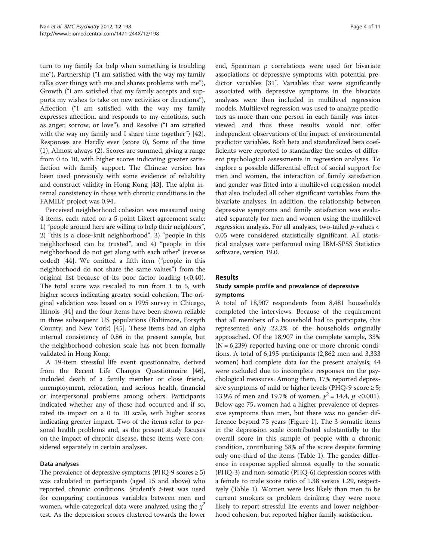turn to my family for help when something is troubling me"), Partnership ("I am satisfied with the way my family talks over things with me and shares problems with me"), Growth ("I am satisfied that my family accepts and supports my wishes to take on new activities or directions"), Affection ("I am satisfied with the way my family expresses affection, and responds to my emotions, such as anger, sorrow, or love"), and Resolve ("I am satisfied with the way my family and I share time together") [\[42](#page-10-0)]. Responses are Hardly ever (score 0), Some of the time (1), Almost always (2). Scores are summed, giving a range from 0 to 10, with higher scores indicating greater satisfaction with family support. The Chinese version has been used previously with some evidence of reliability and construct validity in Hong Kong [[43](#page-10-0)]. The alpha internal consistency in those with chronic conditions in the FAMILY project was 0.94.

Perceived neighborhood cohesion was measured using 4 items, each rated on a 5-point Likert agreement scale: 1) "people around here are willing to help their neighbors", 2) "this is a close-knit neighborhood", 3) "people in this neighborhood can be trusted", and 4) "people in this neighborhood do not get along with each other" (reverse coded) [\[44](#page-10-0)]. We omitted a fifth item ("people in this neighborhood do not share the same values") from the original list because of its poor factor loading  $(<0.40)$ . The total score was rescaled to run from 1 to 5, with higher scores indicating greater social cohesion. The original validation was based on a 1995 survey in Chicago, Illinois [[44\]](#page-10-0) and the four items have been shown reliable in three subsequent US populations (Baltimore, Forsyth County, and New York) [[45\]](#page-10-0). These items had an alpha internal consistency of 0.86 in the present sample, but the neighborhood cohesion scale has not been formally validated in Hong Kong.

A 19-item stressful life event questionnaire, derived from the Recent Life Changes Questionnaire [\[46](#page-10-0)], included death of a family member or close friend, unemployment, relocation, and serious health, financial or interpersonal problems among others. Participants indicated whether any of these had occurred and if so, rated its impact on a 0 to 10 scale, with higher scores indicating greater impact. Two of the items refer to personal health problems and, as the present study focuses on the impact of chronic disease, these items were considered separately in certain analyses.

## Data analyses

The prevalence of depressive symptoms (PHQ-9 scores  $\geq$  5) was calculated in participants (aged 15 and above) who reported chronic conditions. Student's t-test was used for comparing continuous variables between men and women, while categorical data were analyzed using the  $\chi^2$ test. As the depression scores clustered towards the lower

end, Spearman ρ correlations were used for bivariate associations of depressive symptoms with potential predictor variables [\[31\]](#page-9-0). Variables that were significantly associated with depressive symptoms in the bivariate analyses were then included in multilevel regression models. Multilevel regression was used to analyze predictors as more than one person in each family was interviewed and thus these results would not offer independent observations of the impact of environmental predictor variables. Both beta and standardized beta coefficients were reported to standardize the scales of different psychological assessments in regression analyses. To explore a possible differential effect of social support for men and women, the interaction of family satisfaction and gender was fitted into a multilevel regression model that also included all other significant variables from the bivariate analyses. In addition, the relationship between depressive symptoms and family satisfaction was evaluated separately for men and women using the multilevel regression analysis. For all analyses, two-tailed  $p$ -values < 0.05 were considered statistically significant. All statistical analyses were performed using IBM-SPSS Statistics software, version 19.0.

## Results

## Study sample profile and prevalence of depressive symptoms

A total of 18,907 respondents from 8,481 households completed the interviews. Because of the requirement that all members of a household had to participate, this represented only 22.2% of the households originally approached. Of the 18,907 in the complete sample, 33%  $(N = 6,239)$  reported having one or more chronic conditions. A total of 6,195 participants (2,862 men and 3,333 women) had complete data for the present analysis; 44 were excluded due to incomplete responses on the psychological measures. Among them, 17% reported depressive symptoms of mild or higher levels (PHQ-9 score  $\geq$  5; 13.9% of men and 19.7% of women,  $\chi^2$  = 14.4, p <0.001). Below age 75, women had a higher prevalence of depressive symptoms than men, but there was no gender difference beyond 75 years (Figure [1](#page-4-0)). The 3 somatic items in the depression scale contributed substantially to the overall score in this sample of people with a chronic condition, contributing 58% of the score despite forming only one-third of the items (Table [1](#page-5-0)). The gender difference in response applied almost equally to the somatic (PHQ-3) and non-somatic (PHQ-6) depression scores with a female to male score ratio of 1.38 versus 1.29, respectively (Table [1\)](#page-5-0). Women were less likely than men to be current smokers or problem drinkers; they were more likely to report stressful life events and lower neighborhood cohesion, but reported higher family satisfaction.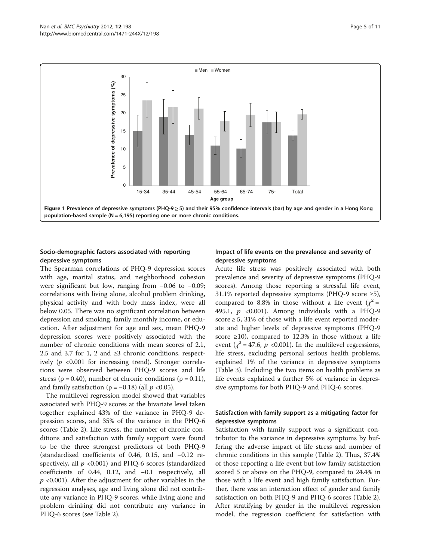<span id="page-4-0"></span>

## Socio-demographic factors associated with reporting depressive symptoms

The Spearman correlations of PHQ-9 depression scores with age, marital status, and neighborhood cohesion were significant but low, ranging from −0.06 to −0.09; correlations with living alone, alcohol problem drinking, physical activity and with body mass index, were all below 0.05. There was no significant correlation between depression and smoking, family monthly income, or education. After adjustment for age and sex, mean PHQ-9 depression scores were positively associated with the number of chronic conditions with mean scores of 2.1, 2.5 and 3.7 for 1, 2 and ≥3 chronic conditions, respectively ( $p \le 0.001$  for increasing trend). Stronger correlations were observed between PHQ-9 scores and life stress ( $\rho$  = 0.40), number of chronic conditions ( $\rho$  = 0.11), and family satisfaction ( $\rho = -0.18$ ) (all  $p < 0.05$ ).

The multilevel regression model showed that variables associated with PHQ-9 scores at the bivariate level taken together explained 43% of the variance in PHQ-9 depression scores, and 35% of the variance in the PHQ-6 scores (Table [2\)](#page-6-0). Life stress, the number of chronic conditions and satisfaction with family support were found to be the three strongest predictors of both PHQ-9 (standardized coefficients of 0.46, 0.15, and −0.12 respectively, all  $p < 0.001$ ) and PHQ-6 scores (standardized coefficients of 0.44, 0.12, and −0.1 respectively, all  $p$  <0.001). After the adjustment for other variables in the regression analyses, age and living alone did not contribute any variance in PHQ-9 scores, while living alone and problem drinking did not contribute any variance in PHQ-6 scores (see Table [2\)](#page-6-0).

## Impact of life events on the prevalence and severity of depressive symptoms

Acute life stress was positively associated with both prevalence and severity of depressive symptoms (PHQ-9 scores). Among those reporting a stressful life event, 31.1% reported depressive symptoms (PHQ-9 score ≥5), compared to 8.8% in those without a life event  $(x^2 =$ 495.1,  $p \leq 0.001$ ). Among individuals with a PHQ-9 score  $\geq 5$ , 31% of those with a life event reported moderate and higher levels of depressive symptoms (PHQ-9 score  $\geq$ 10), compared to 12.3% in those without a life event ( $\chi^2$  = 47.6, p <0.001). In the multilevel regressions, life stress, excluding personal serious health problems, explained 1% of the variance in depressive symptoms (Table [3](#page-6-0)). Including the two items on health problems as life events explained a further 5% of variance in depressive symptoms for both PHQ-9 and PHQ-6 scores.

## Satisfaction with family support as a mitigating factor for depressive symptoms

Satisfaction with family support was a significant contributor to the variance in depressive symptoms by buffering the adverse impact of life stress and number of chronic conditions in this sample (Table [2\)](#page-6-0). Thus, 37.4% of those reporting a life event but low family satisfaction scored 5 or above on the PHQ-9, compared to 24.4% in those with a life event and high family satisfaction. Further, there was an interaction effect of gender and family satisfaction on both PHQ-9 and PHQ-6 scores (Table [2](#page-6-0)). After stratifying by gender in the multilevel regression model, the regression coefficient for satisfaction with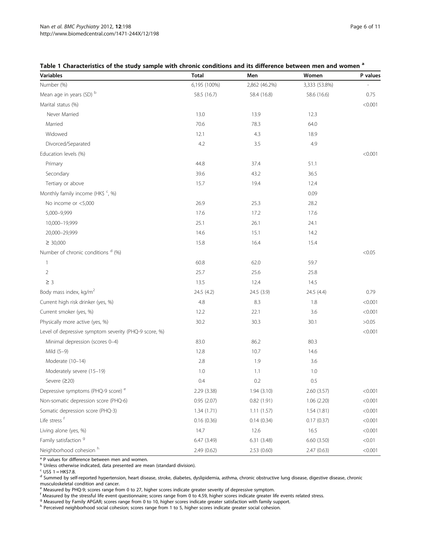## <span id="page-5-0"></span>Table 1 Characteristics of the study sample with chronic conditions and its difference between men and women <sup>a</sup>

| <b>Variables</b>                                      | <b>Total</b> | Men                        | Women         | P values |
|-------------------------------------------------------|--------------|----------------------------|---------------|----------|
| Number (%)                                            | 6,195 (100%) | 2,862 (46.2%)              | 3,333 (53.8%) |          |
| Mean age in years (SD) <sup>b</sup>                   | 58.5 (16.7)  | 58.4 (16.8)<br>58.6 (16.6) |               | 0.75     |
| Marital status (%)                                    |              |                            |               | < 0.001  |
| Never Married                                         | 13.0         | 13.9                       | 12.3          |          |
| Married                                               | 70.6         | 78.3                       | 64.0          |          |
| Widowed                                               | 12.1         | 4.3                        | 18.9          |          |
| Divorced/Separated                                    | 4.2          | 3.5                        | 4.9           |          |
| Education levels (%)                                  |              |                            |               | < 0.001  |
| Primary                                               | 44.8         | 37.4                       | 51.1          |          |
| Secondary                                             | 39.6         | 43.2                       | 36.5          |          |
| Tertiary or above                                     | 15.7         | 19.4                       | 12.4          |          |
| Monthly family income (HK\$ c, %)                     |              |                            | 0.09          |          |
| No income or <5,000                                   | 26.9         | 25.3                       | 28.2          |          |
| 5,000-9,999                                           | 17.6         | 17.2                       | 17.6          |          |
| 10,000-19,999                                         | 25.1         | 26.1                       | 24.1          |          |
| 20,000-29,999                                         | 14.6         | 15.1                       | 14.2          |          |
| $\geq 30,000$                                         | 15.8         | 16.4                       | 15.4          |          |
| Number of chronic conditions <sup>d</sup> (%)         |              |                            |               | < 0.05   |
| $\mathbf{1}$                                          | 60.8         | 62.0                       | 59.7          |          |
| 2                                                     | 25.7         | 25.6                       | 25.8          |          |
| $\geq$ 3                                              | 13.5         | 12.4                       | 14.5          |          |
| Body mass index, kg/m <sup>2</sup>                    | 24.5 (4.2)   | 24.5 (3.9)                 | 24.5 (4.4)    | 0.79     |
| Current high risk drinker (yes, %)                    | 4.8          | 8.3                        | 1.8           | < 0.001  |
| Current smoker (yes, %)                               | 12.2         | 22.1                       | 3.6           | < 0.001  |
| Physically more active (yes, %)                       | 30.2         | 30.3                       | 30.1          | >0.05    |
| Level of depressive symptom severity (PHQ-9 score, %) |              |                            |               | < 0.001  |
| Minimal depression (scores 0-4)                       | 83.0         | 86.2                       | 80.3          |          |
| Mild (5-9)                                            | 12.8         | 10.7                       | 14.6          |          |
| Moderate (10-14)                                      | 2.8          | 1.9                        | 3.6           |          |
| Moderately severe (15-19)                             | 1.0          | 1.1                        | 1.0           |          |
| Severe (≥20)                                          | 0.4          | 0.2                        | 0.5           |          |
| Depressive symptoms (PHQ-9 score) <sup>e</sup>        | 2.29 (3.38)  | 1.94(3.10)                 | 2.60 (3.57)   | < 0.001  |
| Non-somatic depression score (PHQ-6)                  | 0.95(2.07)   | 0.82(1.91)                 | 1.06(2.20)    | < 0.001  |
| Somatic depression score (PHQ-3)                      | 1.34(1.71)   | 1.11(1.57)                 | 1.54(1.81)    | < 0.001  |
| Life stress <sup>f</sup>                              | 0.16(0.36)   | 0.14(0.34)                 | 0.17(0.37)    | < 0.001  |
| Living alone (yes, %)                                 | 14.7         | 12.6                       | 16.5          | < 0.001  |
| Family satisfaction <sup>9</sup>                      | 6.47 (3.49)  | 6.31(3.48)                 | 6.60 (3.50)   | < 0.01   |
| Neighborhood cohesion <sup>h</sup>                    | 2.49 (0.62)  | 2.53 (0.60)                | 2.47 (0.63)   | < 0.001  |

<sup>a</sup> P values for difference between men and women.

<sup>b</sup> Unless otherwise indicated, data presented are mean (standard division).

 $^{\circ}$  US\$ 1 = HK\$7.8.

<sup>d</sup> Summed by self-reported hypertension, heart disease, stroke, diabetes, dyslipidemia, asthma, chronic obstructive lung disease, digestive disease, chronic musculoskeletal condition and cancer.

<sup>e</sup> Measured by PHQ-9; scores range from 0 to 27, higher scores indicate greater severity of depressive symptom.

<sup>f</sup> Measured by the stressful life event questionnaire; scores range from 0 to 4.59, higher scores indicate greater life events related stress.

<sup>g</sup> Measured by Family APGAR; scores range from 0 to 10, higher scores indicate greater satisfaction with family support.

h Perceived neighborhood social cohesion; scores range from 1 to 5, higher scores indicate greater social cohesion.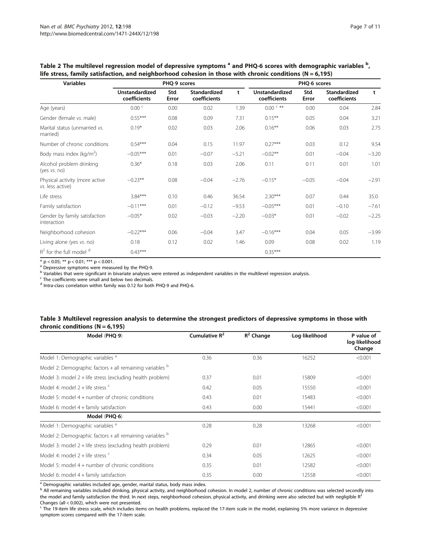| <b>Variables</b>                                   | PHQ-9 scores                          |               |                                     |         | PHQ-6 scores                          |               |                                     |             |
|----------------------------------------------------|---------------------------------------|---------------|-------------------------------------|---------|---------------------------------------|---------------|-------------------------------------|-------------|
|                                                    | <b>Unstandardized</b><br>coefficients | Std.<br>Error | <b>Standardized</b><br>coefficients | t       | <b>Unstandardized</b><br>coefficients | Std.<br>Error | <b>Standardized</b><br>coefficients | $\mathbf t$ |
| Age (years)                                        | $0.00 \text{ C}$                      | 0.00          | 0.02                                | 1.39    | $0.00 \text{ C}$ **                   | 0.00          | 0.04                                | 2.84        |
| Gender (female vs. male)                           | $0.55***$                             | 0.08          | 0.09                                | 7.31    | $0.15***$                             | 0.05          | 0.04                                | 3.21        |
| Marital status (unmarried vs.<br>married)          | $0.19*$                               | 0.02          | 0.03                                | 2.06    | $0.16***$                             | 0.06          | 0.03                                | 2.75        |
| Number of chronic conditions                       | $0.54***$                             | 0.04          | 0.15                                | 11.97   | $0.27***$                             | 0.03          | 0.12                                | 9.54        |
| Body mass index ( $kg/m2$ )                        | $-0.05***$                            | 0.01          | $-0.07$                             | $-5.21$ | $-0.02**$                             | 0.01          | $-0.04$                             | $-3.20$     |
| Alcohol problem drinking<br>(yes vs. no)           | $0.36*$                               | 0.18          | 0.03                                | 2.06    | 0.11                                  | 0.11          | 0.01                                | 1.01        |
| Physical activity (more active<br>vs. less active) | $-0.23**$                             | 0.08          | $-0.04$                             | $-2.76$ | $-0.15*$                              | $-0.05$       | $-0.04$                             | $-2.91$     |
| Life stress                                        | $3.84***$                             | 0.10          | 0.46                                | 36.54   | $2.30***$                             | 0.07          | 0.44                                | 35.0        |
| Family satisfaction                                | $-0.11***$                            | 0.01          | $-0.12$                             | $-9.53$ | $-0.05***$                            | 0.01          | $-0.10$                             | $-7.61$     |
| Gender by family satisfaction<br>interaction       | $-0.05*$                              | 0.02          | $-0.03$                             | $-2.20$ | $-0.03*$                              | 0.01          | $-0.02$                             | $-2.25$     |
| Neighborhood cohesion                              | $-0.22***$                            | 0.06          | $-0.04$                             | 3.47    | $-0.16***$                            | 0.04          | 0.05                                | $-3.99$     |
| Living alone (yes vs. no)                          | 0.18                                  | 0.12          | 0.02                                | 1.46    | 0.09                                  | 0.08          | 0.02                                | 1.19        |
| $R^2$ for the full model $d$                       | $0.43***$                             |               |                                     |         | $0.35***$                             |               |                                     |             |

<span id="page-6-0"></span>Table 2 The multilevel regression model of depressive symptoms <sup>a</sup> and PHQ-6 scores with demographic variables <sup>b</sup>, life stress, family satisfaction, and neighborhood cohesion in those with chronic conditions (N = 6,195)

 $*$  p < 0.05; \*\* p < 0.01; \*\*\* p < 0.001.

a Depressive symptoms were measured by the PHQ-9.

<sup>b</sup> Variables that were significant in bivariate analyses were entered as independent variables in the multilevel regression analysis.

<sup>c</sup> The coefficients were small and below two decimals.

<sup>d</sup> Intra-class correlation within family was 0.12 for both PHQ-9 and PHQ-6.

#### Table 3 Multilevel regression analysis to determine the strongest predictors of depressive symptoms in those with chronic conditions  $(N = 6, 195)$

| Model (PHQ-9)                                                | Cumulative $R^2$ | $R^2$ Change | -Log-likelihood | P value of<br>log-likelihood<br>Change |
|--------------------------------------------------------------|------------------|--------------|-----------------|----------------------------------------|
| Model 1: Demographic variables <sup>a</sup>                  | 0.36             | 0.36         | 16252           | < 0.001                                |
| Model 2: Demographic factors $+$ all remaining variables $b$ |                  |              |                 |                                        |
| Model 3: model $2 +$ life stress (excluding health problem)  | 0.37             | 0.01         | 15809           | < 0.001                                |
| Model 4: model $2 +$ life stress $c$                         | 0.42             | 0.05         | 15550           | < 0.001                                |
| Model 5: model $4 +$ number of chronic conditions            | 0.43             | 0.01         | 15483           | < 0.001                                |
| Model 6: model $4 +$ family satisfaction                     | 0.43             | 0.00         | 15441           | < 0.001                                |
| Model (PHQ-6)                                                |                  |              |                 |                                        |
| Model 1: Demographic variables <sup>a</sup>                  | 0.28             | 0.28         | 13268           | < 0.001                                |
| Model 2: Demographic factors $+$ all remaining variables $b$ |                  |              |                 |                                        |
| Model 3: model $2 +$ life stress (excluding health problem)  | 0.29             | 0.01         | 12865           | < 0.001                                |
| Model 4: model $2 +$ life stress $c$                         | 0.34             | 0.05         | 12625           | < 0.001                                |
| Model 5: model $4 +$ number of chronic conditions            | 0.35             | 0.01         | 12582           | < 0.001                                |
| Model 6: model $4 +$ family satisfaction                     | 0.35             | 0.00         | 12558           | < 0.001                                |

a Demographic variables included age, gender, marital status, body mass index.

b All remaining variables included drinking, physical activity, and neighborhood cohesion. In model 2, number of chronic conditions was selected secondly into the model and family satisfaction the third. In next steps, neighborhood cohesion, physical activity, and drinking were also selected but with negligible  $R<sup>2</sup>$ Changes (all < 0.002), which were not presented.

<sup>c</sup> The 19-item life stress scale, which includes items on health problems, replaced the 17-item scale in the model, explaining 5% more variance in depressive symptom scores compared with the 17-item scale.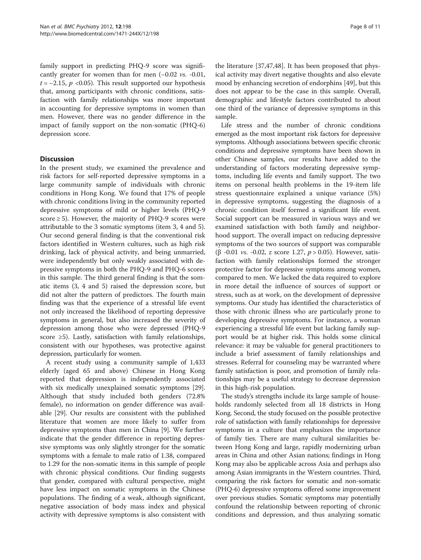family support in predicting PHQ-9 score was significantly greater for women than for men  $(-0.02 \text{ vs. } -0.01,$  $t = -2.15$ ,  $p \le 0.05$ ). This result supported our hypothesis that, among participants with chronic conditions, satisfaction with family relationships was more important in accounting for depressive symptoms in women than men. However, there was no gender difference in the impact of family support on the non-somatic (PHQ-6) depression score.

## **Discussion**

In the present study, we examined the prevalence and risk factors for self-reported depressive symptoms in a large community sample of individuals with chronic conditions in Hong Kong. We found that 17% of people with chronic conditions living in the community reported depressive symptoms of mild or higher levels (PHQ-9 score  $\geq$  5). However, the majority of PHQ-9 scores were attributable to the 3 somatic symptoms (item 3, 4 and 5). Our second general finding is that the conventional risk factors identified in Western cultures, such as high risk drinking, lack of physical activity, and being unmarried, were independently but only weakly associated with depressive symptoms in both the PHQ-9 and PHQ-6 scores in this sample. The third general finding is that the somatic items (3, 4 and 5) raised the depression score, but did not alter the pattern of predictors. The fourth main finding was that the experience of a stressful life event not only increased the likelihood of reporting depressive symptoms in general, but also increased the severity of depression among those who were depressed (PHQ-9 score  $\geq 5$ ). Lastly, satisfaction with family relationships, consistent with our hypotheses, was protective against depression, particularly for women.

A recent study using a community sample of 1,433 elderly (aged 65 and above) Chinese in Hong Kong reported that depression is independently associated with six medically unexplained somatic symptoms [\[29](#page-9-0)]. Although that study included both genders (72.8% female), no information on gender difference was available [\[29](#page-9-0)]. Our results are consistent with the published literature that women are more likely to suffer from depressive symptoms than men in China [\[9](#page-9-0)]. We further indicate that the gender difference in reporting depressive symptoms was only slightly stronger for the somatic symptoms with a female to male ratio of 1.38, compared to 1.29 for the non-somatic items in this sample of people with chronic physical conditions. Our finding suggests that gender, compared with cultural perspective, might have less impact on somatic symptoms in the Chinese populations. The finding of a weak, although significant, negative association of body mass index and physical activity with depressive symptoms is also consistent with the literature [[37](#page-10-0),[47](#page-10-0),[48](#page-10-0)]. It has been proposed that physical activity may divert negative thoughts and also elevate mood by enhancing secretion of endorphins [[49\]](#page-10-0), but this does not appear to be the case in this sample. Overall, demographic and lifestyle factors contributed to about one third of the variance of depressive symptoms in this sample.

Life stress and the number of chronic conditions emerged as the most important risk factors for depressive symptoms. Although associations between specific chronic conditions and depressive symptoms have been shown in other Chinese samples, our results have added to the understanding of factors moderating depressive symptoms, including life events and family support. The two items on personal health problems in the 19-item life stress questionnaire explained a unique variance (5%) in depressive symptoms, suggesting the diagnosis of a chronic condition itself formed a significant life event. Social support can be measured in various ways and we examined satisfaction with both family and neighborhood support. The overall impact on reducing depressive symptoms of the two sources of support was comparable (β -0.01 *vs.* -0.02, *z* score 1.27,  $p > 0.05$ ). However, satisfaction with family relationships formed the stronger protective factor for depressive symptoms among women, compared to men. We lacked the data required to explore in more detail the influence of sources of support or stress, such as at work, on the development of depressive symptoms. Our study has identified the characteristics of those with chronic illness who are particularly prone to developing depressive symptoms. For instance, a woman experiencing a stressful life event but lacking family support would be at higher risk. This holds some clinical relevance: it may be valuable for general practitioners to include a brief assessment of family relationships and stresses. Referral for counseling may be warranted where family satisfaction is poor, and promotion of family relationships may be a useful strategy to decrease depression in this high-risk population.

The study's strengths include its large sample of households randomly selected from all 18 districts in Hong Kong. Second, the study focused on the possible protective role of satisfaction with family relationships for depressive symptoms in a culture that emphasizes the importance of family ties. There are many cultural similarities between Hong Kong and large, rapidly modernizing urban areas in China and other Asian nations; findings in Hong Kong may also be applicable across Asia and perhaps also among Asian immigrants in the Western countries. Third, comparing the risk factors for somatic and non-somatic (PHQ-6) depressive symptoms offered some improvement over previous studies. Somatic symptoms may potentially confound the relationship between reporting of chronic conditions and depression, and thus analyzing somatic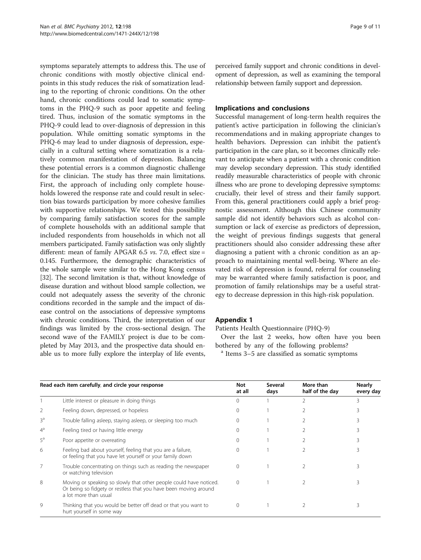symptoms separately attempts to address this. The use of chronic conditions with mostly objective clinical endpoints in this study reduces the risk of somatization leading to the reporting of chronic conditions. On the other hand, chronic conditions could lead to somatic symptoms in the PHQ-9 such as poor appetite and feeling tired. Thus, inclusion of the somatic symptoms in the PHQ-9 could lead to over-diagnosis of depression in this population. While omitting somatic symptoms in the PHQ-6 may lead to under diagnosis of depression, especially in a cultural setting where somatization is a relatively common manifestation of depression. Balancing these potential errors is a common diagnostic challenge for the clinician. The study has three main limitations. First, the approach of including only complete households lowered the response rate and could result in selection bias towards participation by more cohesive families with supportive relationships. We tested this possibility by comparing family satisfaction scores for the sample of complete households with an additional sample that included respondents from households in which not all members participated. Family satisfaction was only slightly different: mean of family APGAR 6.5 vs. 7.0, effect size = 0.145. Furthermore, the demographic characteristics of the whole sample were similar to the Hong Kong census [[32](#page-9-0)]. The second limitation is that, without knowledge of disease duration and without blood sample collection, we could not adequately assess the severity of the chronic conditions recorded in the sample and the impact of disease control on the associations of depressive symptoms with chronic conditions. Third, the interpretation of our findings was limited by the cross-sectional design. The second wave of the FAMILY project is due to be completed by May 2013, and the prospective data should enable us to more fully explore the interplay of life events,

perceived family support and chronic conditions in development of depression, as well as examining the temporal relationship between family support and depression.

#### Implications and conclusions

Successful management of long-term health requires the patient's active participation in following the clinician's recommendations and in making appropriate changes to health behaviors. Depression can inhibit the patient's participation in the care plan, so it becomes clinically relevant to anticipate when a patient with a chronic condition may develop secondary depression. This study identified readily measurable characteristics of people with chronic illness who are prone to developing depressive symptoms: crucially, their level of stress and their family support. From this, general practitioners could apply a brief prognostic assessment. Although this Chinese community sample did not identify behaviors such as alcohol consumption or lack of exercise as predictors of depression, the weight of previous findings suggests that general practitioners should also consider addressing these after diagnosing a patient with a chronic condition as an approach to maintaining mental well-being. Where an elevated risk of depression is found, referral for counseling may be warranted where family satisfaction is poor, and promotion of family relationships may be a useful strategy to decrease depression in this high-risk population.

## Appendix 1

Patients Health Questionnaire (PHQ-9)

Over the last 2 weeks, how often have you been bothered by any of the following problems?<br><sup>a</sup> Items 3–5 are classified as somatic symptoms

| Read each item carefully, and circle your response |                                                                                                                                                                 | <b>Not</b><br>at all | Several<br>days | More than<br>half of the day | <b>Nearly</b><br>every day |
|----------------------------------------------------|-----------------------------------------------------------------------------------------------------------------------------------------------------------------|----------------------|-----------------|------------------------------|----------------------------|
|                                                    | Little interest or pleasure in doing things                                                                                                                     | $\Omega$             |                 | $\mathfrak{D}$               | 3                          |
| 2                                                  | Feeling down, depressed, or hopeless                                                                                                                            |                      |                 |                              | 3                          |
| 3 <sup>a</sup>                                     | Trouble falling asleep, staying asleep, or sleeping too much                                                                                                    |                      |                 |                              |                            |
| $4^a$                                              | Feeling tired or having little energy                                                                                                                           |                      |                 |                              |                            |
| $5^a$                                              | Poor appetite or overeating                                                                                                                                     |                      |                 |                              |                            |
| 6                                                  | Feeling bad about yourself, feeling that you are a failure,<br>or feeling that you have let yourself or your family down                                        | ∩                    |                 |                              |                            |
| 7                                                  | Trouble concentrating on things such as reading the newspaper<br>or watching television                                                                         | $\Omega$             |                 |                              | 3                          |
| 8                                                  | Moving or speaking so slowly that other people could have noticed.<br>Or being so fidgety or restless that you have been moving around<br>a lot more than usual | $\Omega$             |                 |                              |                            |
| 9                                                  | Thinking that you would be better off dead or that you want to<br>hurt yourself in some way                                                                     |                      |                 |                              | 3                          |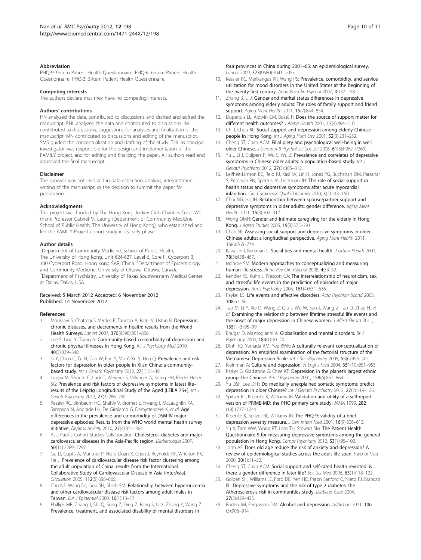#### <span id="page-9-0"></span>Abbreviation

PHQ-9: 9-item Patient Health Questionnaire; PHQ-6: 6-item Patient Health Questionnaire; PHQ-3: 3-item Patient Health Questionnaire.

#### Competing interests

The authors declare that they have no competing interests.

#### Authors' contributions

HN analyzed the data, contributed to discussions and drafted and edited the manuscript. PHL analyzed the data and contributed to discussions. IM contributed to discussions, suggestions for analyses and finalization of the manuscript. MN contributed to discussions and editing of the manuscript. SMS guided the conceptualization and drafting of the study. THL as principal investigator was responsible for the design and implementation of the FAMILY project, and for editing and finalizing the paper. All authors read and approved the final manuscript.

#### Disclaimer

The sponsor was not involved in data collection, analysis, interpretation, writing of the manuscript, or the decision to summit the paper for publication.

#### Acknowledgments

This project was funded by The Hong Kong Jockey Club Charities Trust. We thank Professor Gabriel M. Leung (Department of Community Medicine, School of Public Health, The University of Hong Kong), who established and led the FAMILY Project cohort study in its early phase.

#### Author details

<sup>1</sup>Department of Community Medicine, School of Public Health, The University of Hong Kong, Unit 624-627, Level 6, Core F, Cyberport 3, 100 Cyberport Road, Hong Kong SAR, China. <sup>2</sup>Department of Epidemiology and Community Medicine, University of Ottawa, Ottawa, Canada. <sup>3</sup>Department of Psychiatry, University of Texas Southwestern Medical Center at Dallas, Dallas, USA.

#### Received: 5 March 2012 Accepted: 6 November 2012 Published: 14 November 2012

#### References

- Moussavi S, Chatterji S, Verdes E, Tandon A, Patel V, Ustun B: Depression, chronic diseases, and decrements in health: results from the World Health Surveys. Lancet 2007, 370(9590):851–858.
- Lee S, Ling Y, Tsang A: Community-based co-morbidity of depression and chronic physical illnesses in Hong Kong. Int J Psychiatry Med 2010, 40(3):339–348.
- 3. Li Y, Chen C, Tu H, Cao W, Fan S, Ma Y, Xu Y, Hua Q: Prevalence and risk factors for depression in older people in Xi'an China: a communitybased study. Int J Geriatri Psychiatry 2012, 27(1):31-39.
- 4. Luppa M, Sikorski C, Luck T, Weyerer S, Villringer A, Konig HH, Riedel-Heller SG: Prevalence and risk factors of depressive symptoms in latest liferesults of the Leipzig Longitudinal Study of the Aged (LEILA 75+). Int J Geriatr Psychiatry 2012, 27(3):286–295.
- Kessler RC, Birnbaum HG, Shahly V, Bromet E, Hwang I, McLaughlin KA, Sampson N, Andrade LH, De Girolamo G, Demyttenaere K, et al: Age differences in the prevalence and co-morbidity of DSM-IV major depressive episodes: Results from the WHO world mental health survey initiative. Depress Anxiety 2010, 27(4):351–364.
- 6. Asia Pacific Cohort Studies Collaboration: Cholesterol, diabetes and major cardiovascular diseases in the Asia-Pacific region. Diabetologia 2007, 50(11):2289–2297.
- 7. Gu D, Gupta A, Muntner P, Hu S, Duan X, Chen J, Reynolds RF, Whelton PK, He J: Prevalence of cardiovascular disease risk factor clustering among the adult population of China: results from the International Collaborative Study of Cardiovascular Disease in Asia (InterAsia). Circulation 2005, 112(5):658–665.
- 8. Chu NF, Wang DJ, Liou SH, Shieh SM: Relationship between hyperuricemia and other cardiovascular disease risk factors among adult males in Taiwan. Eur J Epidemiol 2000, 16(1):13–17.
- 9. Phillips MR, Zhang J, Shi Q, Song Z, Ding Z, Pang S, Li X, Zhang Y, Wang Z: Prevalence, treatment, and associated disability of mental disorders in

four provinces in China during 2001–05: an epidemiological survey. Lancet 2009, 373(9680):2041–2053.

- 10. Kessler RC, Merikangas KR, Wang PS: Prevalence, comorbidity, and service utilization for mood disorders in the United States at the beginning of the twenty-first century. Annu Rev Clin Psychol 2007, 3:137–158.
- 11. Zhang B, Li J: Gender and marital status differences in depressive symptoms among elderly adults: The roles of family support and friend support. Aging Ment Health 2011, 15(7):844–854.
- 12. Dupertuis LL, Aldwin CM, BossÉ R: Does the source of support matter for different health outcomes? J Aging Health 2001, 13(4):494-510.
- 13. Chi I, Chou KL: Social support and depression among elderly Chinese people in Hong Kong. Int J Aging Hum Dev 2001, 52(3):231–252.
- 14. Cheng ST, Chan ACM: Filial piety and psychological well-being in well older Chinese. J Gerontol B Psychol Sci Soc Sci 2006, 61(5):P262–P269.
- 15. Yu J, Li J, Cuijpers P, Wu S, Wu Z: Prevalence and correlates of depressive symptoms in Chinese older adults: a population-based study. Int J Geriatri Psychiatry 2012, 27(3):305–312.
- 16. Leifheit-Limson EC, Reid KJ, Kasl SV, Lin H, Jones PG, Buchanan DM, Parashar S, Peterson PN, Spertus JA, Lichtman JH: The role of social support in health status and depressive symptoms after acute myocardial infarction. Circ Cardiovasc Qual Outcomes 2010, 3(2):143–150.
- 17. Choi NG, Ha JH: Relationship between spouse/partner support and depressive symptoms in older adults: gender difference. Aging Ment Health 2011, 15(3):307–317.
- 18. Wong OMH: Gender and intimate caregiving for the elderly in Hong Kong. J Aging Studies 2005, 19(3):375–391.
- 19. Chao SF: Assessing social support and depressive symptoms in older Chinese adults: a longitudinal perspective. Aging Ment Health 2011, 15(6):765–774.
- 20. Kawachi I, Berkman L: Social ties and mental health. J Urban Health 2001, 78(3):458–467.
- 21. Monroe SM: Modern approaches to conceptualizing and measuring human life stress. Annu Rev Clin Psychol 2008, 4:33-52.
- 22. Kendler KS, Kuhn J, Prescott CA: The interrelationship of neuroticism, sex, and stressful life events in the prediction of episodes of major depression. Am J Psychiatry 2004, 161(4):631–636.
- 23. Paykel ES: Life events and affective disorders. Acta Psychiatr Scand 2003, 108:61–66.
- 24. Tao M, Li Y, Xie D, Wang Z, Qiu J, Wu W, Sun J, Wang Z, Tao D, Zhao H, et al: Examining the relationship between lifetime stressful life events and the onset of major depression in Chinese women. J Affect Disord 2011, 135(1–3):95–99.
- 25. Bhugar D, Mastrogianni A: Globalisation and mental disorders. Br J Psychiatry 2004, 184(1):10–20.
- 26. Dinh TQ, Yamada AM, Yee BWK: A culturally relevant conceptualization of depression: An empirical examination of the factorial structure of the Vietnamese Depression Scale. Int J Soc Psychiatry 2009, 55(6):496-505.
- 27. Kleinman A: Culture and depression. N Engl J Med 2004, 351(10):951-953.
- 28. Parker G, Gladstone G, Chee KT: Depression in the planet's largest ethnic group: the Chinese. Am J Psychiatry 2001, 158(6):857–864.
- 29. Yu DSF, Lee DTF: Do medically unexplained somatic symptoms predict depression in older Chinese? Int J Geriatri Psychiatry 2012, 27(2):119-126.
- 30. Spitzer RL, Kroenke K, Williams JB: Validation and utility of a self-report version of PRIME-MD: the PHQ primary care study. JAMA 1999, 282 (18):1737–1744.
- 31. Kroenke K, Spitzer RL, Williams JB: The PHQ-9: validity of a brief depression severity measure. J Gen Intern Med 2001, 16(9):606-613.
- 32. Yu X, Tam WW, Wong PT, Lam TH, Stewart SM: The Patient Health Questionnaire-9 for measuring depressive symptoms among the general population in Hong Kong. Compr Psychiatry 2012, 53(1):95–102.
- 33. Jorm AF: Does old age reduce the risk of anxiety and depression? A review of epidemiological studies across the adult life span. Psychol Med 2000, 30(1):11–22.
- 34. Cheng ST, Chan ACM: Social support and self-rated health revisited: is there a gender difference in later life? Soc Sci Med 2006, 63(1):118–122.
- 35. Golden SH, Williams JE, Ford DE, Yeh HC, Paton Sanford C, Nieto FJ, Brancati FL: Depressive symptoms and the risk of type 2 diabetes: the Atherosclerosis risk in communities study. Diabetes Care 2004, 27(2):429–435.
- 36. Boden JM, Fergusson DM: Alcohol and depression. Addiction 2011, 106 (5):906–914.